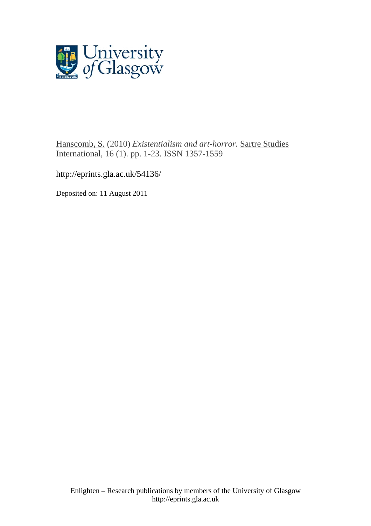

[Hanscomb, S.](http://eprints.gla.ac.uk/view/author/12632.html) (2010) *Existentialism and art-horror.* [Sartre Studies](http://eprints.gla.ac.uk/view/journal_volume/Sartre_Studies_International.html)  [International,](http://eprints.gla.ac.uk/view/journal_volume/Sartre_Studies_International.html) 16 (1). pp. 1-23. ISSN 1357-1559

http://eprints.gla.ac.uk/54136/

Deposited on: 11 August 2011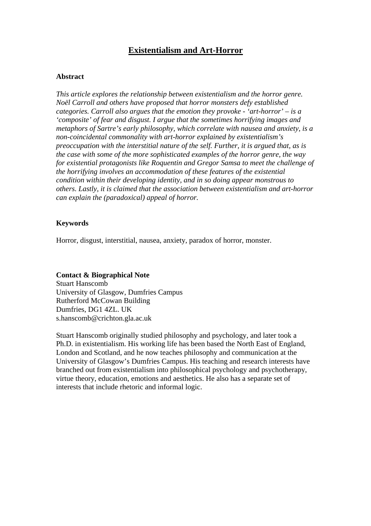# **Existentialism and Art-Horror**

# **Abstract**

*This article explores the relationship between existentialism and the horror genre. Noël Carroll and others have proposed that horror monsters defy established categories. Carroll also argues that the emotion they provoke - 'art-horror' – is a 'composite' of fear and disgust. I argue that the sometimes horrifying images and metaphors of Sartre's early philosophy, which correlate with nausea and anxiety, is a non-coincidental commonality with art-horror explained by existentialism's preoccupation with the interstitial nature of the self. Further, it is argued that, as is the case with some of the more sophisticated examples of the horror genre, the way for existential protagonists like Roquentin and Gregor Samsa to meet the challenge of the horrifying involves an accommodation of these features of the existential condition within their developing identity, and in so doing appear monstrous to others. Lastly, it is claimed that the association between existentialism and art-horror can explain the (paradoxical) appeal of horror.* 

# **Keywords**

Horror, disgust, interstitial, nausea, anxiety, paradox of horror, monster.

# **Contact & Biographical Note**

Stuart Hanscomb University of Glasgow, Dumfries Campus Rutherford McCowan Building Dumfries, DG1 4ZL. UK s.hanscomb@crichton.gla.ac.uk

Stuart Hanscomb originally studied philosophy and psychology, and later took a Ph.D. in existentialism. His working life has been based the North East of England, London and Scotland, and he now teaches philosophy and communication at the University of Glasgow's Dumfries Campus. His teaching and research interests have branched out from existentialism into philosophical psychology and psychotherapy, virtue theory, education, emotions and aesthetics. He also has a separate set of interests that include rhetoric and informal logic.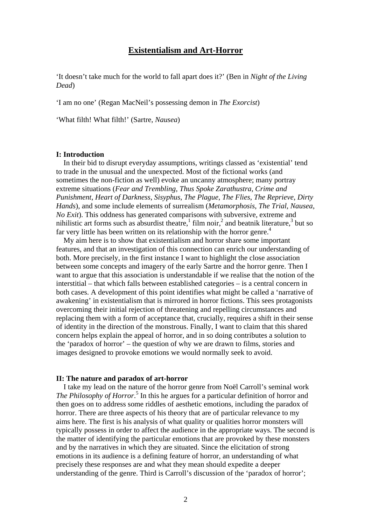# **Existentialism and Art-Horror**

'It doesn't take much for the world to fall apart does it?' (Ben in *Night of the Living Dead*)

'I am no one' (Regan MacNeil's possessing demon in *The Exorcist*)

'What filth! What filth!' (Sartre, *Nausea*)

### **I: Introduction**

 In their bid to disrupt everyday assumptions, writings classed as 'existential' tend to trade in the unusual and the unexpected. Most of the fictional works (and sometimes the non-fiction as well) evoke an uncanny atmosphere; many portray extreme situations (*Fear and Trembling, Thus Spoke Zarathustra*, *Crime and Punishment*, *Heart of Darkness*, *Sisyphus*, *The Plague*, *The Flies*, *The Reprieve*, *Dirty Hands*), and some include elements of surrealism (*Metamorphosis*, *The Trial*, *Nausea*, *No Exit*). This oddness has generated comparisons with subversive, extreme and nihilistic art forms such as absurdist theatre,  $\frac{1}{2}$  film noir,  $\frac{2}{3}$  and beatnik literature,  $\frac{3}{3}$  but so far very little has been written on its relationship with the horror genre.<sup>4</sup>

 My aim here is to show that existentialism and horror share some important features, and that an investigation of this connection can enrich our understanding of both. More precisely, in the first instance I want to highlight the close association between some concepts and imagery of the early Sartre and the horror genre. Then I want to argue that this association is understandable if we realise that the notion of the interstitial – that which falls between established categories – is a central concern in both cases. A development of this point identifies what might be called a 'narrative of awakening' in existentialism that is mirrored in horror fictions. This sees protagonists overcoming their initial rejection of threatening and repelling circumstances and replacing them with a form of acceptance that, crucially, requires a shift in their sense of identity in the direction of the monstrous. Finally, I want to claim that this shared concern helps explain the appeal of horror, and in so doing contributes a solution to the 'paradox of horror' – the question of why we are drawn to films, stories and images designed to provoke emotions we would normally seek to avoid.

#### **II: The nature and paradox of art-horror**

 I take my lead on the nature of the horror genre from Noël Carroll's seminal work The Philosophy of Horror.<sup>5</sup> In this he argues for a particular definition of horror and then goes on to address some riddles of aesthetic emotions, including the paradox of horror. There are three aspects of his theory that are of particular relevance to my aims here. The first is his analysis of what quality or qualities horror monsters will typically possess in order to affect the audience in the appropriate ways. The second is the matter of identifying the particular emotions that are provoked by these monsters and by the narratives in which they are situated. Since the elicitation of strong emotions in its audience is a defining feature of horror, an understanding of what precisely these responses are and what they mean should expedite a deeper understanding of the genre. Third is Carroll's discussion of the 'paradox of horror';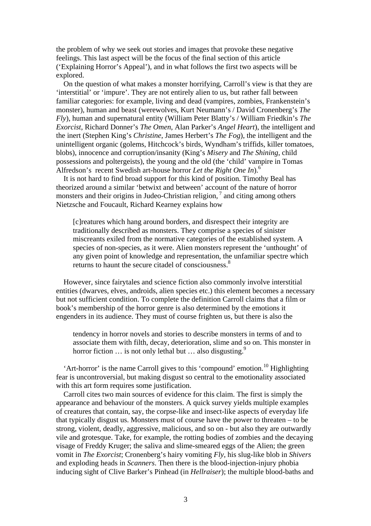the problem of why we seek out stories and images that provoke these negative feelings. This last aspect will be the focus of the final section of this article ('Explaining Horror's Appeal'), and in what follows the first two aspects will be explored.

 On the question of what makes a monster horrifying, Carroll's view is that they are 'interstitial' or 'impure'. They are not entirely alien to us, but rather fall between familiar categories: for example, living and dead (vampires, zombies, Frankenstein's monster), human and beast (werewolves, Kurt Neumann's / David Cronenberg's *The Fly*), human and supernatural entity (William Peter Blatty's / William Friedkin's *The Exorcist*, Richard Donner's *The Omen*, Alan Parker's *Angel Heart*), the intelligent and the inert (Stephen King's *Christine*, James Herbert's *The Fog*), the intelligent and the unintelligent organic (golems, Hitchcock's birds, Wyndham's triffids, killer tomatoes, blobs), innocence and corruption/insanity (King's *Misery* and *The Shining*, child possessions and poltergeists), the young and the old (the 'child' vampire in Tomas Alfredson's recent Swedish art-house horror *Let the Right One In*).6

 It is not hard to find broad support for this kind of position. Timothy Beal has theorized around a similar 'betwixt and between' account of the nature of horror monsters and their origins in Judeo-Christian religion,  $\frac{7}{1}$  and citing among others Nietzsche and Foucault, Richard Kearney explains how

[c]reatures which hang around borders, and disrespect their integrity are traditionally described as monsters. They comprise a species of sinister miscreants exiled from the normative categories of the established system. A species of non-species, as it were. Alien monsters represent the 'unthought' of any given point of knowledge and representation, the unfamiliar spectre which returns to haunt the secure citadel of consciousness.<sup>8</sup>

 However, since fairytales and science fiction also commonly involve interstitial entities (dwarves, elves, androids, alien species etc.) this element becomes a necessary but not sufficient condition. To complete the definition Carroll claims that a film or book's membership of the horror genre is also determined by the emotions it engenders in its audience. They must of course frighten us, but there is also the

tendency in horror novels and stories to describe monsters in terms of and to associate them with filth, decay, deterioration, slime and so on. This monster in horror fiction  $\ldots$  is not only lethal but  $\ldots$  also disgusting.<sup>9</sup>

'Art-horror' is the name Carroll gives to this 'compound' emotion.<sup>10</sup> Highlighting fear is uncontroversial, but making disgust so central to the emotionality associated with this art form requires some justification.

 Carroll cites two main sources of evidence for this claim. The first is simply the appearance and behaviour of the monsters. A quick survey yields multiple examples of creatures that contain, say, the corpse-like and insect-like aspects of everyday life that typically disgust us. Monsters must of course have the power to threaten – to be strong, violent, deadly, aggressive, malicious, and so on - but also they are outwardly vile and grotesque. Take, for example, the rotting bodies of zombies and the decaying visage of Freddy Kruger; the saliva and slime-smeared eggs of the Alien; the green vomit in *The Exorcist*; Cronenberg's hairy vomiting *Fly*, his slug-like blob in *Shivers*  and exploding heads in *Scanners*. Then there is the blood-injection-injury phobia inducing sight of Clive Barker's Pinhead (in *Hellraiser*); the multiple blood-baths and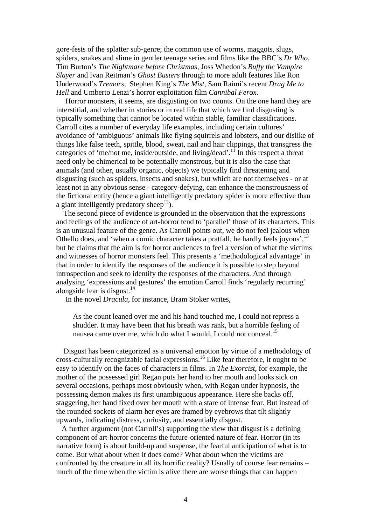gore-fests of the splatter sub-genre; the common use of worms, maggots, slugs, spiders, snakes and slime in gentler teenage series and films like the BBC's *Dr Who*, Tim Burton's *The Nightmare before Christmas*, Joss Whedon's *Buffy the Vampire Slayer* and Ivan Reitman's *Ghost Busters* through to more adult features like Ron Underwood's *Tremors*, Stephen King's *The Mist*, Sam Raimi's recent *Drag Me to Hell* and Umberto Lenzi's horror exploitation film *Cannibal Ferox*.

 Horror monsters, it seems, are disgusting on two counts. On the one hand they are interstitial, and whether in stories or in real life that which we find disgusting is typically something that cannot be located within stable, familiar classifications. Carroll cites a number of everyday life examples, including certain cultures' avoidance of 'ambiguous' animals like flying squirrels and lobsters, and our dislike of things like false teeth, spittle, blood, sweat, nail and hair clippings, that transgress the categories of 'me/not me, inside/outside, and living/dead'.11 In this respect a threat need only be chimerical to be potentially monstrous, but it is also the case that animals (and other, usually organic, objects) we typically find threatening and disgusting (such as spiders, insects and snakes), but which are not themselves - or at least not in any obvious sense - category-defying, can enhance the monstrousness of the fictional entity (hence a giant intelligently predatory spider is more effective than a giant intelligently predatory sheep<sup>12</sup>).

 The second piece of evidence is grounded in the observation that the expressions and feelings of the audience of art-horror tend to 'parallel' those of its characters. This is an unusual feature of the genre. As Carroll points out, we do not feel jealous when Othello does, and 'when a comic character takes a pratfall, he hardly feels joyous',<sup>13</sup> but he claims that the aim is for horror audiences to feel a version of what the victims and witnesses of horror monsters feel. This presents a 'methodological advantage' in that in order to identify the responses of the audience it is possible to step beyond introspection and seek to identify the responses of the characters. And through analysing 'expressions and gestures' the emotion Carroll finds 'regularly recurring' alongside fear is disgust. $^{14}$ 

In the novel *Dracula*, for instance, Bram Stoker writes,

As the count leaned over me and his hand touched me, I could not repress a shudder. It may have been that his breath was rank, but a horrible feeling of nausea came over me, which do what I would, I could not conceal.<sup>15</sup>

 Disgust has been categorized as a universal emotion by virtue of a methodology of cross-culturally recognizable facial expressions.16 Like fear therefore, it ought to be easy to identify on the faces of characters in films. In *The Exorcist*, for example, the mother of the possessed girl Regan puts her hand to her mouth and looks sick on several occasions, perhaps most obviously when, with Regan under hypnosis, the possessing demon makes its first unambiguous appearance. Here she backs off, staggering, her hand fixed over her mouth with a stare of intense fear. But instead of the rounded sockets of alarm her eyes are framed by eyebrows that tilt slightly upwards, indicating distress, curiosity, and essentially disgust.

 A further argument (not Carroll's) supporting the view that disgust is a defining component of art-horror concerns the future-oriented nature of fear. Horror (in its narrative form) is about build-up and suspense, the fearful anticipation of what is to come. But what about when it does come? What about when the victims are confronted by the creature in all its horrific reality? Usually of course fear remains – much of the time when the victim is alive there are worse things that can happen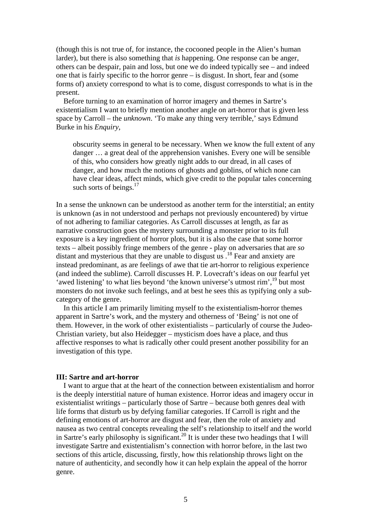(though this is not true of, for instance, the cocooned people in the Alien's human larder), but there is also something that *is* happening. One response can be anger, others can be despair, pain and loss, but one we do indeed typically see – and indeed one that is fairly specific to the horror genre – is disgust. In short, fear and (some forms of) anxiety correspond to what is to come, disgust corresponds to what is in the present.

 Before turning to an examination of horror imagery and themes in Sartre's existentialism I want to briefly mention another angle on art-horror that is given less space by Carroll – the *unknown*. 'To make any thing very terrible,' says Edmund Burke in his *Enquiry*,

obscurity seems in general to be necessary. When we know the full extent of any danger … a great deal of the apprehension vanishes. Every one will be sensible of this, who considers how greatly night adds to our dread, in all cases of danger, and how much the notions of ghosts and goblins, of which none can have clear ideas, affect minds, which give credit to the popular tales concerning such sorts of beings. $17$ 

In a sense the unknown can be understood as another term for the interstitial; an entity is unknown (as in not understood and perhaps not previously encountered) by virtue of not adhering to familiar categories. As Carroll discusses at length, as far as narrative construction goes the mystery surrounding a monster prior to its full exposure is a key ingredient of horror plots, but it is also the case that some horror texts – albeit possibly fringe members of the genre - play on adversaries that are *so*  distant and mysterious that they are unable to disgust us .18 Fear and anxiety are instead predominant, as are feelings of awe that tie art-horror to religious experience (and indeed the sublime). Carroll discusses H. P. Lovecraft's ideas on our fearful yet 'awed listening' to what lies beyond 'the known universe's utmost rim',<sup>19</sup> but most monsters do not invoke such feelings, and at best he sees this as typifying only a subcategory of the genre.

 In this article I am primarily limiting myself to the existentialism-horror themes apparent in Sartre's work, and the mystery and otherness of 'Being' is not one of them. However, in the work of other existentialists – particularly of course the Judeo-Christian variety, but also Heidegger – mysticism does have a place, and thus affective responses to what is radically other could present another possibility for an investigation of this type.

#### **III: Sartre and art-horror**

 I want to argue that at the heart of the connection between existentialism and horror is the deeply interstitial nature of human existence. Horror ideas and imagery occur in existentialist writings – particularly those of Sartre – because both genres deal with life forms that disturb us by defying familiar categories. If Carroll is right and the defining emotions of art-horror are disgust and fear, then the role of anxiety and nausea as two central concepts revealing the self's relationship to itself and the world in Sartre's early philosophy is significant.<sup>20</sup> It is under these two headings that I will investigate Sartre and existentialism's connection with horror before, in the last two sections of this article, discussing, firstly, how this relationship throws light on the nature of authenticity, and secondly how it can help explain the appeal of the horror genre.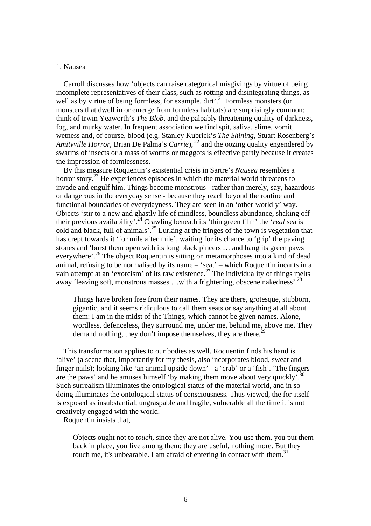## 1. Nausea

 Carroll discusses how 'objects can raise categorical misgivings by virtue of being incomplete representatives of their class, such as rotting and disintegrating things, as well as by virtue of being formless, for example, dirt'.<sup>21</sup> Formless monsters (or monsters that dwell in or emerge from formless habitats) are surprisingly common: think of Irwin Yeaworth's *The Blob*, and the palpably threatening quality of darkness, fog, and murky water. In frequent association we find spit, saliva, slime, vomit, wetness and, of course, blood (e.g. Stanley Kubrick's *The Shining*, Stuart Rosenberg's *Amityville Horror*, Brian De Palma's *Carrie*), <sup>22</sup> and the oozing quality engendered by swarms of insects or a mass of worms or maggots is effective partly because it creates the impression of formlessness.

 By this measure Roquentin's existential crisis in Sartre's *Nausea* resembles a horror story.<sup>23</sup> He experiences episodes in which the material world threatens to invade and engulf him. Things become monstrous - rather than merely, say, hazardous or dangerous in the everyday sense - because they reach beyond the routine and functional boundaries of everydayness. They are seen in an 'other-worldly' way. Objects 'stir to a new and ghastly life of mindless, boundless abundance, shaking off their previous availability'.24 Crawling beneath its 'thin green film' the '*real* sea is cold and black, full of animals'.<sup>25</sup> Lurking at the fringes of the town is vegetation that has crept towards it 'for mile after mile', waiting for its chance to 'grip' the paving stones and 'burst them open with its long black pincers … and hang its green paws everywhere'.<sup>26</sup> The object Roquentin is sitting on metamorphoses into a kind of dead animal, refusing to be normalised by its name – 'seat' – which Roquentin incants in a vain attempt at an 'exorcism' of its raw existence.<sup>27</sup> The individuality of things melts away 'leaving soft, monstrous masses ...with a frightening, obscene nakedness'.<sup>28</sup>

Things have broken free from their names. They are there, grotesque, stubborn, gigantic, and it seems ridiculous to call them seats or say anything at all about them: I am in the midst of the Things, which cannot be given names. Alone, wordless, defenceless, they surround me, under me, behind me, above me. They demand nothing, they don't impose themselves, they are there.<sup>29</sup>

 This transformation applies to our bodies as well. Roquentin finds his hand is 'alive' (a scene that, importantly for my thesis, also incorporates blood, sweat and finger nails); looking like 'an animal upside down' - a 'crab' or a 'fish'. 'The fingers are the paws' and he amuses himself 'by making them move about very quickly'.<sup>30</sup> Such surrealism illuminates the ontological status of the material world, and in sodoing illuminates the ontological status of consciousness. Thus viewed, the for-itself is exposed as insubstantial, ungraspable and fragile, vulnerable all the time it is not creatively engaged with the world.

Roquentin insists that,

Objects ought not to *touch*, since they are not alive. You use them, you put them back in place, you live among them: they are useful, nothing more. But they touch me, it's unbearable. I am afraid of entering in contact with them. 31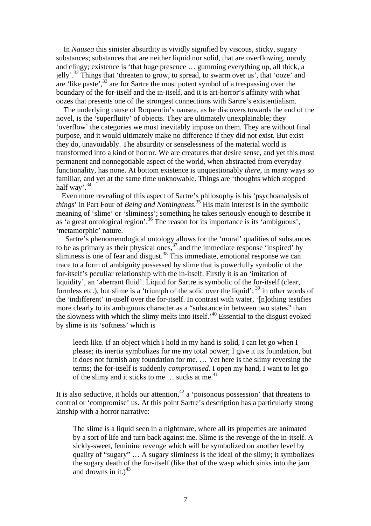In *Nausea* this sinister absurdity is vividly signified by viscous, sticky, sugary substances; substances that are neither liquid nor solid, that are overflowing, unruly and clingy; existence is 'that huge presence … gumming everything up, all thick, a jelly'.32 Things that 'threaten to grow, to spread, to swarm over us', that 'ooze' and are 'like paste',<sup>33</sup> are for Sartre the most potent symbol of a trespassing over the boundary of the for-itself and the in-itself, and it is art-horror's affinity with what oozes that presents one of the strongest connections with Sartre's existentialism.

 The underlying cause of Roquentin's nausea, as he discovers towards the end of the novel, is the 'superfluity' of objects. They are ultimately unexplainable; they 'overflow' the categories we must inevitably impose on them. They are without final purpose, and it would ultimately make no difference if they did not exist. But exist they do, unavoidably. The absurdity or senselessness of the material world is transformed into a kind of horror. We are creatures that desire sense, and yet this most permanent and nonnegotiable aspect of the world, when abstracted from everyday functionality, has none. At bottom existence is unquestionably *there*, in many ways so familiar, and yet at the same time unknowable. Things are 'thoughts which stopped half way'.<sup>34</sup>

 Even more revealing of this aspect of Sartre's philosophy is his 'psychoanalysis of *things*' in Part Four of *Being and Nothingness*. 35 His main interest is in the symbolic meaning of 'slime' or 'sliminess'; something he takes seriously enough to describe it as 'a great ontological region'.<sup>36</sup> The reason for its importance is its 'ambiguous', 'metamorphic' nature.

Sartre's phenomenological ontology allows for the 'moral' qualities of substances to be as primary as their physical ones,  $37$  and the immediate response 'inspired' by sliminess is one of fear and disgust.<sup>38</sup> This immediate, emotional response we can trace to a form of ambiguity possessed by slime that is powerfully symbolic of the for-itself's peculiar relationship with the in-itself. Firstly it is an 'imitation of liquidity', an 'aberrant fluid'. Liquid for Sartre is symbolic of the for-itself (clear, formless etc.), but slime is a 'triumph of the solid over the liquid';  $39$  in other words of the 'indifferent' in-itself over the for-itself. In contrast with water, '[n]othing testifies more clearly to its ambiguous character as a "substance in between two states" than the slowness with which the slimy melts into itself.' 40 Essential to the disgust evoked by slime is its 'softness' which is

leech like. If an object which I hold in my hand is solid, I can let go when I please; its inertia symbolizes for me my total power; I give it its foundation, but it does not furnish any foundation for me. … Yet here is the slimy reversing the terms; the for-itself is suddenly *compromised*. I open my hand, I want to let go of the slimy and it sticks to me … sucks at me. 41

It is also seductive, it holds our attention,<sup>42</sup> a 'poisonous possession' that threatens to control or 'compromise' us. At this point Sartre's description has a particularly strong kinship with a horror narrative:

The slime is a liquid seen in a nightmare, where all its properties are animated by a sort of life and turn back against me. Slime is the revenge of the in-itself. A sickly-sweet, feminine revenge which will be symbolized on another level by quality of "sugary" … A sugary sliminess is the ideal of the slimy; it symbolizes the sugary death of the for-itself (like that of the wasp which sinks into the jam and drowns in it.) $43$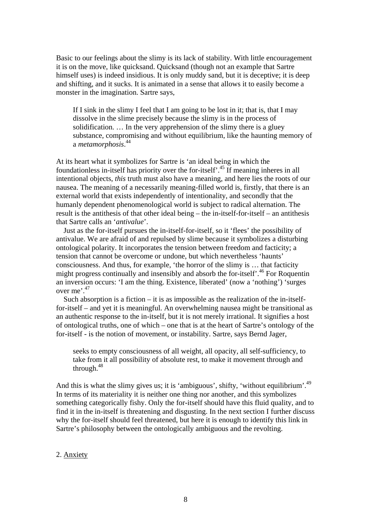Basic to our feelings about the slimy is its lack of stability. With little encouragement it is on the move, like quicksand. Quicksand (though not an example that Sartre himself uses) is indeed insidious. It is only muddy sand, but it is deceptive; it is deep and shifting, and it sucks. It is animated in a sense that allows it to easily become a monster in the imagination. Sartre says,

If I sink in the slimy I feel that I am going to be lost in it; that is, that I may dissolve in the slime precisely because the slimy is in the process of solidification. … In the very apprehension of the slimy there is a gluey substance, compromising and without equilibrium, like the haunting memory of a *metamorphosis*. 44

At its heart what it symbolizes for Sartre is 'an ideal being in which the foundationless in-itself has priority over the for-itself'.45 If meaning inheres in all intentional objects, *this* truth must also have a meaning, and here lies the roots of our nausea. The meaning of a necessarily meaning-filled world is, firstly, that there is an external world that exists independently of intentionality, and secondly that the humanly dependent phenomenological world is subject to radical alternation. The result is the antithesis of that other ideal being – the in-itself-for-itself – an antithesis that Sartre calls an '*antivalue*'.

 Just as the for-itself pursues the in-itself-for-itself, so it 'flees' the possibility of antivalue. We are afraid of and repulsed by slime because it symbolizes a disturbing ontological polarity. It incorporates the tension between freedom and facticity; a tension that cannot be overcome or undone, but which nevertheless 'haunts' consciousness. And thus, for example, 'the horror of the slimy is … that facticity might progress continually and insensibly and absorb the for-itself'. 46 For Roquentin an inversion occurs: 'I am the thing. Existence, liberated' (now a 'nothing') 'surges over me'.47

 Such absorption is a fiction – it is as impossible as the realization of the in-itselffor-itself – and yet it is meaningful. An overwhelming nausea might be transitional as an authentic response to the in-itself, but it is not merely irrational. It signifies a host of ontological truths, one of which – one that is at the heart of Sartre's ontology of the for-itself - is the notion of movement, or instability. Sartre, says Bernd Jager,

seeks to empty consciousness of all weight, all opacity, all self-sufficiency, to take from it all possibility of absolute rest, to make it movement through and through.48

And this is what the slimy gives us; it is 'ambiguous', shifty, 'without equilibrium'.<sup>49</sup> In terms of its materiality it is neither one thing nor another, and this symbolizes something categorically fishy. Only the for-itself should have this fluid quality, and to find it in the in-itself is threatening and disgusting. In the next section I further discuss why the for-itself should feel threatened, but here it is enough to identify this link in Sartre's philosophy between the ontologically ambiguous and the revolting.

# 2. Anxiety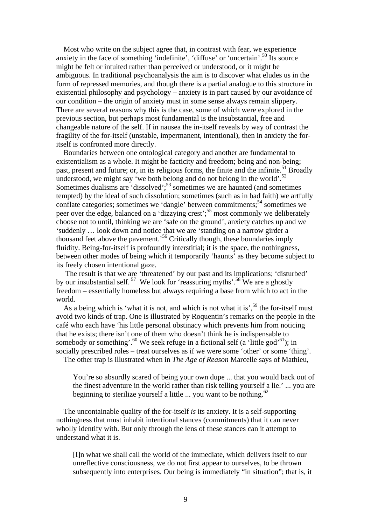Most who write on the subject agree that, in contrast with fear, we experience anxiety in the face of something 'indefinite', 'diffuse' or 'uncertain'.<sup>50</sup> Its source might be felt or intuited rather than perceived or understood, or it might be ambiguous. In traditional psychoanalysis the aim is to discover what eludes us in the form of repressed memories, and though there is a partial analogue to this structure in existential philosophy and psychology – anxiety is in part caused by our avoidance of our condition – the origin of anxiety must in some sense always remain slippery. There are several reasons why this is the case, some of which were explored in the previous section, but perhaps most fundamental is the insubstantial, free and changeable nature of the self. If in nausea the in-itself reveals by way of contrast the fragility of the for-itself (unstable, impermanent, intentional), then in anxiety the foritself is confronted more directly.

 Boundaries between one ontological category and another are fundamental to existentialism as a whole. It might be facticity and freedom; being and non-being; past, present and future; or, in its religious forms, the finite and the infinite.<sup>51</sup> Broadly understood, we might say 'we both belong and do not belong in the world'.<sup>52</sup> Sometimes dualisms are 'dissolved';<sup>53</sup> sometimes we are haunted (and sometimes tempted) by the ideal of such dissolution; sometimes (such as in bad faith) we artfully conflate categories; sometimes we 'dangle' between commitments;<sup>54</sup> sometimes we peer over the edge, balanced on a 'dizzying crest';55 most commonly we deliberately choose not to until, thinking we are 'safe on the ground', anxiety catches up and we 'suddenly … look down and notice that we are 'standing on a narrow girder a thousand feet above the pavement.'56 Critically though, these boundaries imply fluidity. Being-for-itself is profoundly interstitial; it is the space, the nothingness, between other modes of being which it temporarily 'haunts' as they become subject to its freely chosen intentional gaze.

 The result is that we are 'threatened' by our past and its implications; 'disturbed' by our insubstantial self.<sup>57</sup> We look for 'reassuring myths'.<sup>58</sup> We are a ghostly freedom – essentially homeless but always requiring a base from which to act in the world.

As a being which is 'what it is not, and which is not what it is',  $59$  the for-itself must avoid two kinds of trap. One is illustrated by Roquentin's remarks on the people in the café who each have 'his little personal obstinacy which prevents him from noticing that he exists; there isn't one of them who doesn't think he is indispensable to somebody or something'.<sup>60</sup> We seek refuge in a fictional self (a 'little god'<sup>61</sup>); in socially prescribed roles – treat ourselves as if we were some 'other' or some 'thing'.

The other trap is illustrated when in *The Age of Reason* Marcelle says of Mathieu,

You're so absurdly scared of being your own dupe ... that you would back out of the finest adventure in the world rather than risk telling yourself a lie.' ... you are beginning to sterilize yourself a little  $\ldots$  you want to be nothing.<sup>62</sup>

 The uncontainable quality of the for-itself *is* its anxiety. It is a self-supporting nothingness that must inhabit intentional stances (commitments) that it can never wholly identify with. But only through the lens of these stances can it attempt to understand what it is.

[I]n what we shall call the world of the immediate, which delivers itself to our unreflective consciousness, we do not first appear to ourselves, to be thrown subsequently into enterprises. Our being is immediately "in situation"; that is, it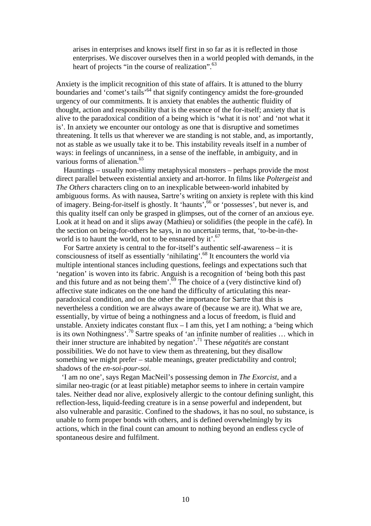arises in enterprises and knows itself first in so far as it is reflected in those enterprises. We discover ourselves then in a world peopled with demands, in the heart of projects "in the course of realization".<sup>63</sup>

Anxiety is the implicit recognition of this state of affairs. It is attuned to the blurry boundaries and 'comet's tails<sup>'64</sup> that signify contingency amidst the fore-grounded urgency of our commitments. It is anxiety that enables the authentic fluidity of thought, action and responsibility that is the essence of the for-itself; anxiety that is alive to the paradoxical condition of a being which is 'what it is not' and 'not what it is'. In anxiety we encounter our ontology as one that is disruptive and sometimes threatening. It tells us that wherever we are standing is not stable, and, as importantly, not as stable as we usually take it to be. This instability reveals itself in a number of ways: in feelings of uncanniness, in a sense of the ineffable, in ambiguity, and in various forms of alienation.<sup>65</sup>

 Hauntings – usually non-slimy metaphysical monsters – perhaps provide the most direct parallel between existential anxiety and art-horror. In films like *Poltergeist* and *The Others* characters cling on to an inexplicable between-world inhabited by ambiguous forms. As with nausea, Sartre's writing on anxiety is replete with this kind of imagery. Being-for-itself is ghostly. It 'haunts',<sup>66</sup> or 'possesses', but never is, and this quality itself can only be grasped in glimpses, out of the corner of an anxious eye. Look at it head on and it slips away (Mathieu) or solidifies (the people in the café). In the section on being-for-others he says, in no uncertain terms, that, 'to-be-in-theworld is to haunt the world, not to be ensnared by it'.<sup>67</sup>

 For Sartre anxiety is central to the for-itself's authentic self-awareness – it is consciousness of itself as essentially 'nihilating'.68 It encounters the world via multiple intentional stances including questions, feelings and expectations such that 'negation' is woven into its fabric. Anguish is a recognition of 'being both this past and this future and as not being them'. $69$  The choice of a (very distinctive kind of) affective state indicates on the one hand the difficulty of articulating this nearparadoxical condition, and on the other the importance for Sartre that this is nevertheless a condition we are always aware of (because we are it). What we are, essentially, by virtue of being a nothingness and a locus of freedom, is fluid and unstable. Anxiety indicates constant flux  $- I$  am this, yet I am nothing; a 'being which is its own Nothingness'.70 Sartre speaks of 'an infinite number of realities … which in their inner structure are inhabited by negation'.71 These *négatités* are constant possibilities. We do not have to view them as threatening, but they disallow something we might prefer – stable meanings, greater predictability and control; shadows of the *en-soi-pour-soi*.

 'I am no one', says Regan MacNeil's possessing demon in *The Exorcist*, and a similar neo-tragic (or at least pitiable) metaphor seems to inhere in certain vampire tales. Neither dead nor alive, explosively allergic to the contour defining sunlight, this reflection-less, liquid-feeding creature is in a sense powerful and independent, but also vulnerable and parasitic. Confined to the shadows, it has no soul, no substance, is unable to form proper bonds with others, and is defined overwhelmingly by its actions, which in the final count can amount to nothing beyond an endless cycle of spontaneous desire and fulfilment.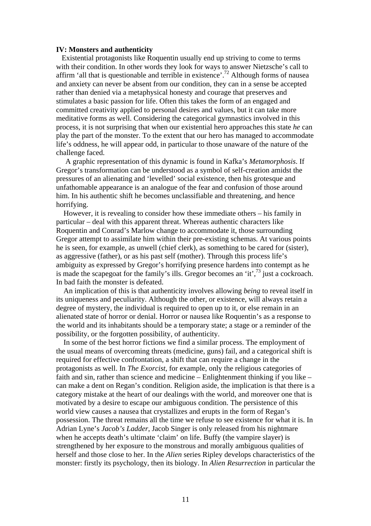### **IV: Monsters and authenticity**

 Existential protagonists like Roquentin usually end up striving to come to terms with their condition. In other words they look for ways to answer Nietzsche's call to affirm 'all that is questionable and terrible in existence'.<sup>72</sup> Although forms of nausea and anxiety can never be absent from our condition, they can in a sense be accepted rather than denied via a metaphysical honesty and courage that preserves and stimulates a basic passion for life. Often this takes the form of an engaged and committed creativity applied to personal desires and values, but it can take more meditative forms as well. Considering the categorical gymnastics involved in this process, it is not surprising that when our existential hero approaches this state *he* can play the part of the monster. To the extent that our hero has managed to accommodate life's oddness, he will appear odd, in particular to those unaware of the nature of the challenge faced.

 A graphic representation of this dynamic is found in Kafka's *Metamorphosis*. If Gregor's transformation can be understood as a symbol of self-creation amidst the pressures of an alienating and 'levelled' social existence, then his grotesque and unfathomable appearance is an analogue of the fear and confusion of those around him. In his authentic shift he becomes unclassifiable and threatening, and hence horrifying.

 However, it is revealing to consider how these immediate others – his family in particular – deal with this apparent threat. Whereas authentic characters like Roquentin and Conrad's Marlow change to accommodate it, those surrounding Gregor attempt to assimilate him within their pre-existing schemas. At various points he is seen, for example, as unwell (chief clerk), as something to be cared for (sister), as aggressive (father), or as his past self (mother). Through this process life's ambiguity as expressed by Gregor's horrifying presence hardens into contempt as he is made the scapegoat for the family's ills. Gregor becomes an 'it', $^{73}$  just a cockroach. In bad faith the monster is defeated.

 An implication of this is that authenticity involves allowing *being* to reveal itself in its uniqueness and peculiarity. Although the other, or existence, will always retain a degree of mystery, the individual is required to open up to it, or else remain in an alienated state of horror or denial. Horror or nausea like Roquentin's as a response to the world and its inhabitants should be a temporary state; a stage or a reminder of the possibility, or the forgotten possibility, of authenticity.

 In some of the best horror fictions we find a similar process. The employment of the usual means of overcoming threats (medicine, guns) fail, and a categorical shift is required for effective confrontation, a shift that can require a change in the protagonists as well. In *The Exorcist*, for example, only the religious categories of faith and sin, rather than science and medicine – Enlightenment thinking if you like – can make a dent on Regan's condition. Religion aside, the implication is that there is a category mistake at the heart of our dealings with the world, and moreover one that is motivated by a desire to escape our ambiguous condition. The persistence of this world view causes a nausea that crystallizes and erupts in the form of Regan's possession. The threat remains all the time we refuse to see existence for what it is. In Adrian Lyne's *Jacob's Ladder*, Jacob Singer is only released from his nightmare when he accepts death's ultimate 'claim' on life. Buffy (the vampire slayer) is strengthened by her exposure to the monstrous and morally ambiguous qualities of herself and those close to her. In the *Alien* series Ripley develops characteristics of the monster: firstly its psychology, then its biology. In *Alien Resurrection* in particular the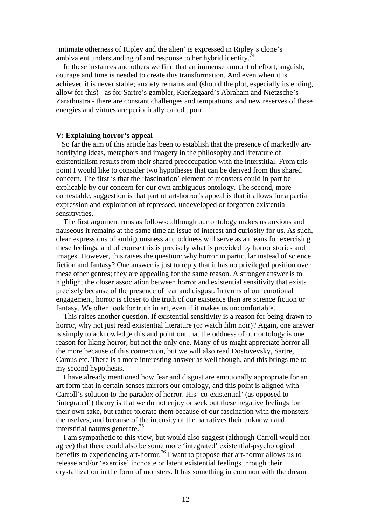'intimate otherness of Ripley and the alien' is expressed in Ripley's clone's ambivalent understanding of and response to her hybrid identity.<sup>74</sup>

 In these instances and others we find that an immense amount of effort, anguish, courage and time is needed to create this transformation. And even when it is achieved it is never stable; anxiety remains and (should the plot, especially its ending, allow for this) - as for Sartre's gambler, Kierkegaard's Abraham and Nietzsche's Zarathustra - there are constant challenges and temptations, and new reserves of these energies and virtues are periodically called upon.

## **V: Explaining horror's appeal**

 So far the aim of this article has been to establish that the presence of markedly arthorrifying ideas, metaphors and imagery in the philosophy and literature of existentialism results from their shared preoccupation with the interstitial. From this point I would like to consider two hypotheses that can be derived from this shared concern. The first is that the 'fascination' element of monsters could in part be explicable by our concern for our own ambiguous ontology. The second, more contestable, suggestion is that part of art-horror's appeal is that it allows for a partial expression and exploration of repressed, undeveloped or forgotten existential sensitivities.

 The first argument runs as follows: although our ontology makes us anxious and nauseous it remains at the same time an issue of interest and curiosity for us. As such, clear expressions of ambiguousness and oddness will serve as a means for exercising these feelings, and of course this is precisely what is provided by horror stories and images. However, this raises the question: why horror in particular instead of science fiction and fantasy? One answer is just to reply that it has no privileged position over these other genres; they are appealing for the same reason. A stronger answer is to highlight the closer association between horror and existential sensitivity that exists precisely because of the presence of fear and disgust. In terms of our emotional engagement, horror is closer to the truth of our existence than are science fiction or fantasy. We often look for truth in art, even if it makes us uncomfortable.

 This raises another question. If existential sensitivity is a reason for being drawn to horror, why not just read existential literature (or watch film noir)? Again, one answer is simply to acknowledge this and point out that the oddness of our ontology is one reason for liking horror, but not the only one. Many of us might appreciate horror all the more because of this connection, but we will also read Dostoyevsky, Sartre, Camus etc. There is a more interesting answer as well though, and this brings me to my second hypothesis.

 I have already mentioned how fear and disgust are emotionally appropriate for an art form that in certain senses mirrors our ontology, and this point is aligned with Carroll's solution to the paradox of horror. His 'co-existential' (as opposed to 'integrated') theory is that we do not enjoy or seek out these negative feelings for their own sake, but rather tolerate them because of our fascination with the monsters themselves, and because of the intensity of the narratives their unknown and interstitial natures generate.75

 I am sympathetic to this view, but would also suggest (although Carroll would not agree) that there could also be some more 'integrated' existential-psychological benefits to experiencing art-horror.<sup>76</sup> I want to propose that art-horror allows us to release and/or 'exercise' inchoate or latent existential feelings through their crystallization in the form of monsters. It has something in common with the dream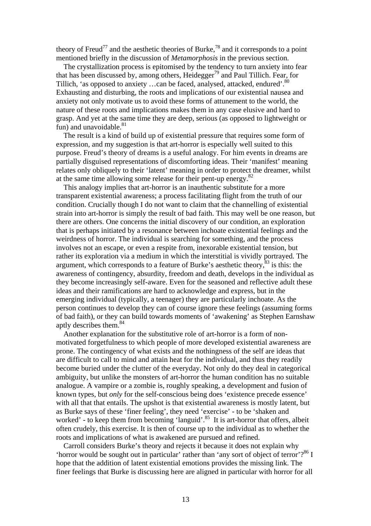theory of Freud<sup>77</sup> and the aesthetic theories of Burke,<sup>78</sup> and it corresponds to a point mentioned briefly in the discussion of *Metamorphosis* in the previous section.

 The crystallization process is epitomised by the tendency to turn anxiety into fear that has been discussed by, among others, Heidegger<sup>79</sup> and Paul Tillich. Fear, for Tillich, 'as opposed to anxiety ...can be faced, analysed, attacked, endured'.<sup>80</sup> Exhausting and disturbing, the roots and implications of our existential nausea and anxiety not only motivate us to avoid these forms of attunement to the world, the nature of these roots and implications makes them in any case elusive and hard to grasp. And yet at the same time they are deep, serious (as opposed to lightweight or fun) and unavoidable. $81$ 

 The result is a kind of build up of existential pressure that requires some form of expression, and my suggestion is that art-horror is especially well suited to this purpose. Freud's theory of dreams is a useful analogy. For him events in dreams are partially disguised representations of discomforting ideas. Their 'manifest' meaning relates only obliquely to their 'latent' meaning in order to protect the dreamer, whilst at the same time allowing some release for their pent-up energy. 82

 This analogy implies that art-horror is an inauthentic substitute for a more transparent existential awareness; a process facilitating flight from the truth of our condition. Crucially though I do not want to claim that the channelling of existential strain into art-horror is simply the result of bad faith. This may well be one reason, but there are others. One concerns the initial discovery of our condition, an exploration that is perhaps initiated by a resonance between inchoate existential feelings and the weirdness of horror. The individual is searching for something, and the process involves not an escape, or even a respite from, inexorable existential tension, but rather its exploration via a medium in which the interstitial is vividly portrayed. The argument, which corresponds to a feature of Burke's aesthetic theory, $83$  is this: the awareness of contingency, absurdity, freedom and death, develops in the individual as they become increasingly self-aware. Even for the seasoned and reflective adult these ideas and their ramifications are hard to acknowledge and express, but in the emerging individual (typically, a teenager) they are particularly inchoate. As the person continues to develop they can of course ignore these feelings (assuming forms of bad faith), or they can build towards moments of 'awakening' as Stephen Earnshaw aptly describes them. 84

 Another explanation for the substitutive role of art-horror is a form of nonmotivated forgetfulness to which people of more developed existential awareness are prone. The contingency of what exists and the nothingness of the self are ideas that are difficult to call to mind and attain heat for the individual, and thus they readily become buried under the clutter of the everyday. Not only do they deal in categorical ambiguity, but unlike the monsters of art-horror the human condition has no suitable analogue. A vampire or a zombie is, roughly speaking, a development and fusion of known types, but *only* for the self-conscious being does 'existence precede essence' with all that that entails. The upshot is that existential awareness is mostly latent, but as Burke says of these 'finer feeling', they need 'exercise' - to be 'shaken and worked' - to keep them from becoming 'languid'. $85$  It is art-horror that offers, albeit often crudely, this exercise. It is then of course up to the individual as to whether the roots and implications of what is awakened are pursued and refined.

 Carroll considers Burke's theory and rejects it because it does not explain why 'horror would be sought out in particular' rather than 'any sort of object of terror'?86 I hope that the addition of latent existential emotions provides the missing link. The finer feelings that Burke is discussing here are aligned in particular with horror for all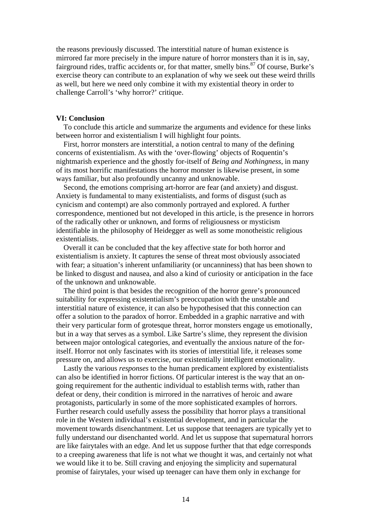the reasons previously discussed. The interstitial nature of human existence is mirrored far more precisely in the impure nature of horror monsters than it is in, say, fairground rides, traffic accidents or, for that matter, smelly bins. $87$  Of course, Burke's exercise theory can contribute to an explanation of why we seek out these weird thrills as well, but here we need only combine it with my existential theory in order to challenge Carroll's 'why horror?' critique.

## **VI: Conclusion**

 To conclude this article and summarize the arguments and evidence for these links between horror and existentialism I will highlight four points.

 First, horror monsters are interstitial, a notion central to many of the defining concerns of existentialism. As with the 'over-flowing' objects of Roquentin's nightmarish experience and the ghostly for-itself of *Being and Nothingness*, in many of its most horrific manifestations the horror monster is likewise present, in some ways familiar, but also profoundly uncanny and unknowable.

 Second, the emotions comprising art-horror are fear (and anxiety) and disgust. Anxiety is fundamental to many existentialists, and forms of disgust (such as cynicism and contempt) are also commonly portrayed and explored. A further correspondence, mentioned but not developed in this article, is the presence in horrors of the radically other or unknown, and forms of religiousness or mysticism identifiable in the philosophy of Heidegger as well as some monotheistic religious existentialists.

 Overall it can be concluded that the key affective state for both horror and existentialism is anxiety. It captures the sense of threat most obviously associated with fear; a situation's inherent unfamiliarity (or uncanniness) that has been shown to be linked to disgust and nausea, and also a kind of curiosity or anticipation in the face of the unknown and unknowable.

 The third point is that besides the recognition of the horror genre's pronounced suitability for expressing existentialism's preoccupation with the unstable and interstitial nature of existence, it can also be hypothesised that this connection can offer a solution to the paradox of horror. Embedded in a graphic narrative and with their very particular form of grotesque threat, horror monsters engage us emotionally, but in a way that serves as a symbol. Like Sartre's slime, they represent the division between major ontological categories, and eventually the anxious nature of the foritself. Horror not only fascinates with its stories of interstitial life, it releases some pressure on, and allows us to exercise, our existentially intelligent emotionality.

 Lastly the various *responses* to the human predicament explored by existentialists can also be identified in horror fictions. Of particular interest is the way that an ongoing requirement for the authentic individual to establish terms with, rather than defeat or deny, their condition is mirrored in the narratives of heroic and aware protagonists, particularly in some of the more sophisticated examples of horrors. Further research could usefully assess the possibility that horror plays a transitional role in the Western individual's existential development, and in particular the movement towards disenchantment. Let us suppose that teenagers are typically yet to fully understand our disenchanted world. And let us suppose that supernatural horrors are like fairytales with an edge. And let us suppose further that that edge corresponds to a creeping awareness that life is not what we thought it was, and certainly not what we would like it to be. Still craving and enjoying the simplicity and supernatural promise of fairytales, your wised up teenager can have them only in exchange for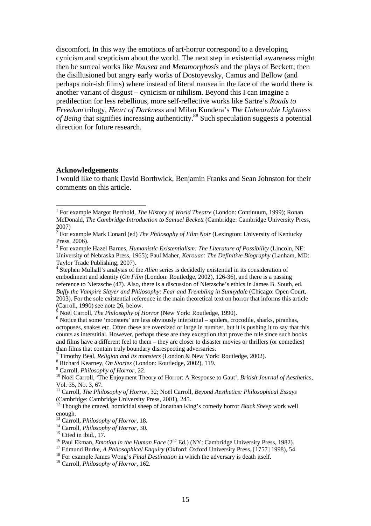discomfort. In this way the emotions of art-horror correspond to a developing cynicism and scepticism about the world. The next step in existential awareness might then be surreal works like *Nausea* and *Metamorphosis* and the plays of Beckett; then the disillusioned but angry early works of Dostoyevsky, Camus and Bellow (and perhaps noir-ish films) where instead of literal nausea in the face of the world there is another variant of disgust – cynicism or nihilism. Beyond this I can imagine a predilection for less rebellious, more self-reflective works like Sartre's *Roads to Freedom* trilogy, *Heart of Darkness* and Milan Kundera's *The Unbearable Lightness of Being* that signifies increasing authenticity.<sup>88</sup> Such speculation suggests a potential direction for future research.

### **Acknowledgements**

 $\overline{a}$ 

I would like to thank David Borthwick, Benjamin Franks and Sean Johnston for their comments on this article.

<sup>&</sup>lt;sup>1</sup> For example Margot Berthold, *The History of World Theatre* (London: Continuum, 1999); Ronan McDonald, *The Cambridge Introduction to Samuel Beckett* (Cambridge: Cambridge University Press, 2007) <sup>2</sup>

<sup>&</sup>lt;sup>2</sup> For example Mark Conard (ed) *The Philosophy of Film Noir* (Lexington: University of Kentucky Press, 2006).

For example Hazel Barnes, *Humanistic Existentialism: The Literature of Possibility* (Lincoln, NE: University of Nebraska Press, 1965); Paul Maher, *Kerouac: The Definitive Biography* (Lanham, MD: Taylor Trade Publishing, 2007). 4

Stephen Mulhall's analysis of the *Alien* series is decidedly existential in its consideration of embodiment and identity (*On Film* (London: Routledge, 2002), 126-36), and there is a passing reference to Nietzsche (47). Also, there is a discussion of Nietzsche's ethics in James B. South, ed. *Buffy the Vampire Slayer and Philosophy: Fear and Trembling in Sunnydale* (Chicago: Open Court, 2003). For the sole existential reference in the main theoretical text on horror that informs this article (Carroll, 1990) see note 26, below.

<sup>&</sup>lt;sup>5</sup> Noël Carroll, *The Philosophy of Horror* (New York: Routledge, 1990).

 $6$  Notice that some 'monsters' are less obviously interstitial – spiders, crocodile, sharks, piranhas, octopuses, snakes etc. Often these are oversized or large in number, but it is pushing it to say that this counts as interstitial. However, perhaps these are they exception that prove the rule since such books and films have a different feel to them – they are closer to disaster movies or thrillers (or comedies) than films that contain truly boundary disrespecting adversaries.

Timothy Beal, *Religion and its monsters* (London & New York: Routledge, 2002). 8

<sup>&</sup>lt;sup>8</sup> Richard Kearney, *On Stories* (London: Routledge, 2002), 119.<br><sup>9</sup> Carroll, *Philosophy of Horror*, 22.

<sup>&</sup>lt;sup>10</sup> Noël Carroll, 'The Enjoyment Theory of Horror: A Response to Gaut', *British Journal of Aesthetics*,

Vol. 35, No. 3, 67. 11 Carroll, *The Philosophy of Horror*, 32; Noël Carroll, *Beyond Aesthetics: Philosophical Essays* (Cambridge: Cambridge University Press, 2001), 245. 12 Though the crazed, homicidal sheep of Jonathan King's comedy horror *Black Sheep* work well

enough.<br><sup>13</sup> Carroll, *Philosophy of Horror*, 18.<br><sup>14</sup> Carroll, *Philosophy of Horror*, 30.<br><sup>15</sup> Cited in ibid., 17.<br><sup>16</sup> Paul Ekman, *Emotion in the Human Face* (2<sup>nd</sup> Ed.) (NY: Cambridge University Press, 1982).<br><sup>17</sup> Ed

<sup>19</sup> Carroll, *Philosophy of Horror*, 162.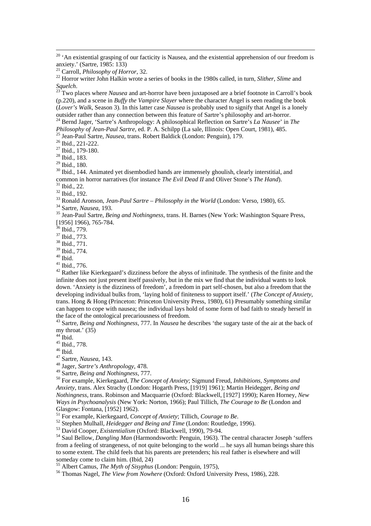(p.220), and a scene in *Buffy the Vampire Slayer* where the character Angel is seen reading the book (*Lover's Walk*, Season 3). In this latter case *Nausea* is probably used to signify that Angel is a lonely

<sup>24</sup> Bernd Jager, 'Sartre's Anthropology: A philosophical Reflection on Sartre's *La Nausee*' in *The Philosophy of Jean-Paul Sartre*, ed. P. A. Schilpp (La sale, Illinois: Open Court, 1981), 485.

<sup>25</sup> Jean-Paul Sartre, *Nausea*, trans. Robert Baldick (London: Penguin), 179.<br><sup>26</sup> Ibid., 221-222.<br><sup>27</sup> Ibid., 179-180.<br><sup>28</sup> Ibid., 183.<br><sup>29</sup> Ibid., 183.

<sup>30</sup> Ibid., 144. Animated yet disembodied hands are immensely ghoulish, clearly interstitial, and common in horror narratives (for instance *The Evil Dead II* and Oliver Stone's *The Hand*).

<sup>31</sup> Ibid., 22.<br><sup>32</sup> Ibid., 192.<br><sup>33</sup> Ronald Aronson, *Jean-Paul Sartre – Philosophy in the World* (London: Verso, 1980), 65.<br><sup>34</sup> Sartre, *Nausea*, 193.<br><sup>35</sup> Jean-Paul Sartre, *Being and Nothingness*, trans. H. Barnes (N

[1956] 1966), 765-784.<br><sup>36</sup> Ibid., 779.<br><sup>37</sup> Ibid., 773.<br><sup>38</sup> Ibid., 771.<br><sup>39</sup> Ibid., 774.

<sup>40</sup> Ibid.<br><sup>41</sup> Ibid., 776.<br><sup>42</sup> Rather like Kierkegaard's dizziness before the abyss of infinitude. The synthesis of the finite and the infinite does not just present itself passively, but in the mix we find that the individual wants to look down. 'Anxiety is the dizziness of freedom', a freedom in part self-chosen, but also a freedom that the developing individual bulks from, 'laying hold of finiteness to support itself.' (*The Concept of Anxiety*, trans. Hong & Hong (Princeton: Princeton University Press, 1980), 61) Presumably something similar can happen to cope with nausea; the individual lays hold of some form of bad faith to steady herself in the face of the ontological precariousness of freedom. 43 Sartre, *Being and Nothingness*, 777. In *Nausea* he describes 'the sugary taste of the air at the back of

my throat.' (35)<br><sup>44</sup> Ibid.<br><sup>45</sup> Ibid., 778.<br><sup>46</sup> Ibid.<br><sup>47</sup> Sartre, *Nausea*, 143.<br><sup>48</sup> Jager, *Sartre's Anthropology*, 478.<br><sup>49</sup> Sartre. *Being and Nothingness*, 777.

<sup>50</sup> For example, Kierkegaard, *The Concept of Anxiety*; Sigmund Freud, *Inhibitions, Symptoms and Anxiety*, trans. Alex Strachy (London: Hogarth Press, [1919] 1961); Martin Heidegger, *Being and Nothingness*, trans. Robinson and Macquarrie (Oxford: Blackwell, [1927] 1990); Karen Horney, *New Ways in Psychoanalysis* (New York: Norton, 1966); Paul Tillich, *The Courage to Be* (London and Glasgow: Fontana, [1952] 1962).<br>
<sup>51</sup> For example, Kierkegaard, *Concept of Anxiety*; Tillich, *Courage to Be*.<br>
<sup>52</sup> Stephen Mulhall, *Heidegger and Being and Time* (London: Routledge, 1996).<br>
<sup>53</sup> David Cooper, *Existent* 

from a feeling of strangeness, of not quite belonging to the world ... he says all human beings share this to some extent. The child feels that his parents are pretenders; his real father is elsewhere and will someday come to claim him. (Ibid, 24)<br><sup>55</sup> Albert Camus, *The Myth of Sisyphus* (London: Penguin, 1975),<br><sup>56</sup> Thomas Nagel, *The View from Nowhere* (Oxford: Oxford University Press, 1986), 228.

<sup>&</sup>lt;sup>20</sup> 'An existential grasping of our facticity is Nausea, and the existential apprehension of our freedom is anxiety.' (Sartre, 1985: 133)

<sup>&</sup>lt;sup>21</sup> Carroll, *Philosophy of Horror*, 32.<br><sup>22</sup> Horror writer John Halkin wrote a series of books in the 1980s called, in turn, *Slither*, *Slime* and *Squelch*. 23 Two places where *Nausea* and art-horror have been juxtaposed are a brief footnote in Carroll's book